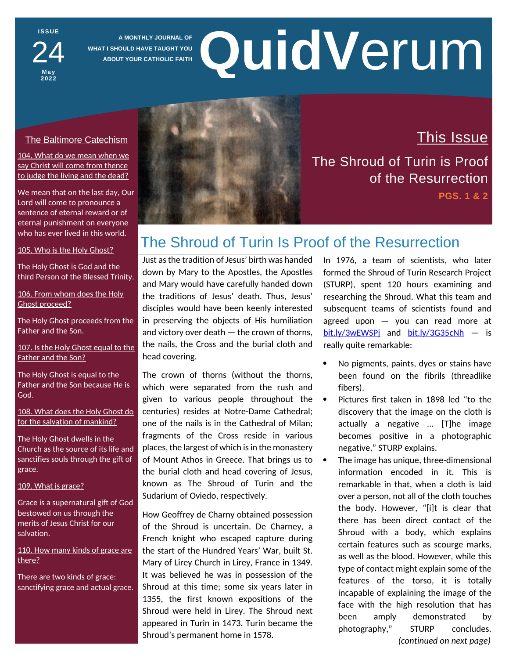**I S S U E** 24

**M a y 2 0 2 2**

**A MONTHLY JOURNAL OF WHAT I SHOULD HAVE TAUGHT YOU ABOUT YOUR CATHOLIC FAITH**

# **QuidV**erum

# The Baltimore Catechism

104. What do we mean when we say Christ will come from thence to judge the living and the dead?

We mean that on the last day, Our Lord will come to pronounce a sentence of eternal reward or of eternal punishment on everyone who has ever lived in this world.

### 105. Who is the Holy Ghost?

The Holy Ghost is God and the third Person of the Blessed Trinity.

106. From whom does the Holy Ghost proceed?

The Holy Ghost proceeds from the Father and the Son.

107. Is the Holy Ghost equal to the Father and the Son?

The Holy Ghost is equal to the Father and the Son because He is God.

108. What does the Holy Ghost do for the salvation of mankind?

The Holy Ghost dwells in the Church as the source of its life and sanctifies souls through the gift of grace.

109. What is grace?

Grace is a supernatural gift of God bestowed on us through the merits of Jesus Christ for our salvation.

110. How many kinds of grace are there?

There are two kinds of grace: sanctifying grace and actual grace.



This Issue The Shroud of Turin is Proof of the Resurrection

**PGS. 1 & 2**

# The Shroud of Turin Is Proof of the Resurrection

Just as the tradition of Jesus' birth was handed down by Mary to the Apostles, the Apostles and Mary would have carefully handed down the traditions of Jesus' death. Thus, Jesus' disciples would have been keenly interested in preserving the objects of His humiliation and victory over death — the crown of thorns, the nails, the Cross and the burial cloth and head covering.

The crown of thorns (without the thorns, which were separated from the rush and given to various people throughout the centuries) resides at Notre-Dame Cathedral; one of the nails is in the Cathedral of Milan; fragments of the Cross reside in various places, the largest of which is in the monastery of Mount Athos in Greece. That brings us to  $\bullet$ the burial cloth and head covering of Jesus, known as The Shroud of Turin and the Sudarium of Oviedo, respectively.

How Geoffrey de Charny obtained possession of the Shroud is uncertain. De Charney, a French knight who escaped capture during the start of the Hundred Years' War, built St. Mary of Lirey Church in Lirey, France in 1349. It was believed he was in possession of the Shroud at this time; some six years later in 1355, the first known expositions of the Shroud were held in Lirey. The Shroud next appeared in Turin in 1473. Turin became the Shroud's permanent home in 1578.

In 1976, a team of scientists, who later formed the Shroud of Turin Research Project (STURP), spent 120 hours examining and researching the Shroud. What this team and subsequent teams of scientists found and agreed upon — you can read more at [bit.ly/3wEWSPj](https://www.shroudencounter.com/wp-content/uploads/2019/01/WebFact-Sheet-Revised-2014.pdf) and [bit.ly/3G35cNh](https://shroud.com/78conclu.htm) - is really quite remarkable:

- No pigments, paints, dyes or stains have been found on the fibrils (threadlike fibers).
- Pictures first taken in 1898 led "to the discovery that the image on the cloth is actually a negative … [T]he image becomes positive in a photographic negative," STURP explains.
- The image has unique, three-dimensional information encoded in it. This is remarkable in that, when a cloth is laid over a person, not all of the cloth touches the body. However, "[i]t is clear that there has been direct contact of the Shroud with a body, which explains certain features such as scourge marks, as well as the blood. However, while this type of contact might explain some of the features of the torso, it is totally incapable of explaining the image of the face with the high resolution that has been amply demonstrated by photography," STURP concludes. *(continued on next page)*